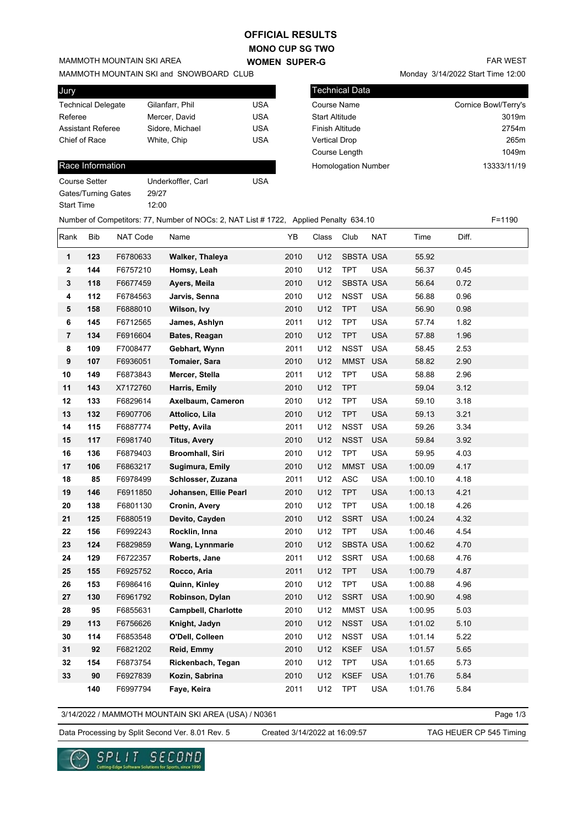## **OFFICIAL RESULTS**

**MONO CUP SG TWO WOMEN SUPER-G** 

MAMMOTH MOUNTAIN SKI and SNOWBOARD CLUB

MAMMOTH MOUNTAIN SKI AREA

| Jury                      |                 |            |
|---------------------------|-----------------|------------|
| <b>Technical Delegate</b> | Gilanfarr, Phil | USA        |
| Referee                   | Mercer, David   | USA        |
| <b>Assistant Referee</b>  | Sidore, Michael | USA        |
| Chief of Race             | White, Chip     | <b>USA</b> |

## Race Information

| Course Setter       | Underkoffler, Carl | USA |
|---------------------|--------------------|-----|
| Gates/Turning Gates | 29/27              |     |
| Start Time          | 12.00              |     |
|                     |                    |     |

Monday 3/14/2022 Start Time 12:00

| <b>Technical Data</b>      |                      |
|----------------------------|----------------------|
| <b>Course Name</b>         | Cornice Bowl/Terry's |
| <b>Start Altitude</b>      | 3019m                |
| Finish Altitude            | 2754m                |
| <b>Vertical Drop</b>       | 265m                 |
| Course Length              | 1049m                |
| <b>Homologation Number</b> | 13333/11/19          |
|                            |                      |

|                  |            |          | Number of Competitors: 77, Number of NOCs: 2, NAT List #1722, Applied Penalty 634.10 |      |       |                  |            |         |       | $F = 1190$ |
|------------------|------------|----------|--------------------------------------------------------------------------------------|------|-------|------------------|------------|---------|-------|------------|
| Rank             | <b>Bib</b> | NAT Code | Name                                                                                 | YB   | Class | Club             | <b>NAT</b> | Time    | Diff. |            |
| 1                | 123        | F6780633 | Walker, Thaleya                                                                      | 2010 | U12   | SBSTA USA        |            | 55.92   |       |            |
| $\boldsymbol{2}$ | 144        | F6757210 | Homsy, Leah                                                                          | 2010 | U12   | <b>TPT</b>       | <b>USA</b> | 56.37   | 0.45  |            |
| $\mathbf 3$      | 118        | F6677459 | Ayers, Meila                                                                         | 2010 | U12   | <b>SBSTA USA</b> |            | 56.64   | 0.72  |            |
| 4                | 112        | F6784563 | Jarvis, Senna                                                                        | 2010 | U12   | NSST             | <b>USA</b> | 56.88   | 0.96  |            |
| 5                | 158        | F6888010 | Wilson, Ivy                                                                          | 2010 | U12   | <b>TPT</b>       | <b>USA</b> | 56.90   | 0.98  |            |
| 6                | 145        | F6712565 | James, Ashlyn                                                                        | 2011 | U12   | <b>TPT</b>       | <b>USA</b> | 57.74   | 1.82  |            |
| $\overline{7}$   | 134        | F6916604 | Bates, Reagan                                                                        | 2010 | U12   | <b>TPT</b>       | <b>USA</b> | 57.88   | 1.96  |            |
| 8                | 109        | F7008477 | Gebhart, Wynn                                                                        | 2011 | U12   | <b>NSST</b>      | <b>USA</b> | 58.45   | 2.53  |            |
| 9                | 107        | F6936051 | Tomaier, Sara                                                                        | 2010 | U12   | <b>MMST</b>      | <b>USA</b> | 58.82   | 2.90  |            |
| 10               | 149        | F6873843 | Mercer, Stella                                                                       | 2011 | U12   | <b>TPT</b>       | <b>USA</b> | 58.88   | 2.96  |            |
| 11               | 143        | X7172760 | Harris, Emily                                                                        | 2010 | U12   | <b>TPT</b>       |            | 59.04   | 3.12  |            |
| 12               | 133        | F6829614 | Axelbaum, Cameron                                                                    | 2010 | U12   | <b>TPT</b>       | <b>USA</b> | 59.10   | 3.18  |            |
| 13               | 132        | F6907706 | Attolico, Lila                                                                       | 2010 | U12   | <b>TPT</b>       | <b>USA</b> | 59.13   | 3.21  |            |
| 14               | 115        | F6887774 | Petty, Avila                                                                         | 2011 | U12   | <b>NSST</b>      | <b>USA</b> | 59.26   | 3.34  |            |
| 15               | 117        | F6981740 | <b>Titus, Avery</b>                                                                  | 2010 | U12   | <b>NSST</b>      | <b>USA</b> | 59.84   | 3.92  |            |
| 16               | 136        | F6879403 | <b>Broomhall, Siri</b>                                                               | 2010 | U12   | <b>TPT</b>       | <b>USA</b> | 59.95   | 4.03  |            |
| 17               | 106        | F6863217 | Sugimura, Emily                                                                      | 2010 | U12   | <b>MMST</b>      | <b>USA</b> | 1:00.09 | 4.17  |            |
| 18               | 85         | F6978499 | Schlosser, Zuzana                                                                    | 2011 | U12   | <b>ASC</b>       | <b>USA</b> | 1:00.10 | 4.18  |            |
| 19               | 146        | F6911850 | Johansen, Ellie Pearl                                                                | 2010 | U12   | <b>TPT</b>       | <b>USA</b> | 1:00.13 | 4.21  |            |
| 20               | 138        | F6801130 | Cronin, Avery                                                                        | 2010 | U12   | <b>TPT</b>       | <b>USA</b> | 1:00.18 | 4.26  |            |
| 21               | 125        | F6880519 | Devito, Cayden                                                                       | 2010 | U12   | <b>SSRT</b>      | <b>USA</b> | 1:00.24 | 4.32  |            |
| 22               | 156        | F6992243 | Rocklin, Inna                                                                        | 2010 | U12   | <b>TPT</b>       | <b>USA</b> | 1:00.46 | 4.54  |            |
| 23               | 124        | F6829859 | Wang, Lynnmarie                                                                      | 2010 | U12   | <b>SBSTA USA</b> |            | 1:00.62 | 4.70  |            |
| 24               | 129        | F6722357 | Roberts, Jane                                                                        | 2011 | U12   | <b>SSRT</b>      | <b>USA</b> | 1:00.68 | 4.76  |            |
| 25               | 155        | F6925752 | Rocco, Aria                                                                          | 2011 | U12   | <b>TPT</b>       | <b>USA</b> | 1:00.79 | 4.87  |            |
| 26               | 153        | F6986416 | Quinn, Kinley                                                                        | 2010 | U12   | TPT              | <b>USA</b> | 1:00.88 | 4.96  |            |
| 27               | 130        | F6961792 | Robinson, Dylan                                                                      | 2010 | U12   | <b>SSRT</b>      | <b>USA</b> | 1:00.90 | 4.98  |            |
| 28               | 95         | F6855631 | <b>Campbell, Charlotte</b>                                                           | 2010 | U12   | MMST USA         |            | 1:00.95 | 5.03  |            |
| 29               | 113        | F6756626 | Knight, Jadyn                                                                        | 2010 | U12   | <b>NSST</b>      | <b>USA</b> | 1:01.02 | 5.10  |            |
| 30               | 114        | F6853548 | O'Dell, Colleen                                                                      | 2010 | U12   | <b>NSST</b>      | <b>USA</b> | 1:01.14 | 5.22  |            |
| 31               | 92         | F6821202 | Reid, Emmy                                                                           | 2010 | U12   | <b>KSEF</b>      | <b>USA</b> | 1:01.57 | 5.65  |            |
| 32               | 154        | F6873754 | Rickenbach, Tegan                                                                    | 2010 | U12   | <b>TPT</b>       | <b>USA</b> | 1:01.65 | 5.73  |            |
| 33               | 90         | F6927839 | Kozin, Sabrina                                                                       | 2010 | U12   | <b>KSEF</b>      | <b>USA</b> | 1:01.76 | 5.84  |            |
|                  | 140        | F6997794 | Faye, Keira                                                                          | 2011 | U12   | <b>TPT</b>       | <b>USA</b> | 1:01.76 | 5.84  |            |

3/14/2022 / MAMMOTH MOUNTAIN SKI AREA (USA) / N0361

Page 1/3

Data Processing by Split Second Ver. 8.01 Rev. 5 Created 3/14/2022 at 16:09:57 TAG HEUER CP 545 Timing

Created 3/14/2022 at 16:09:57

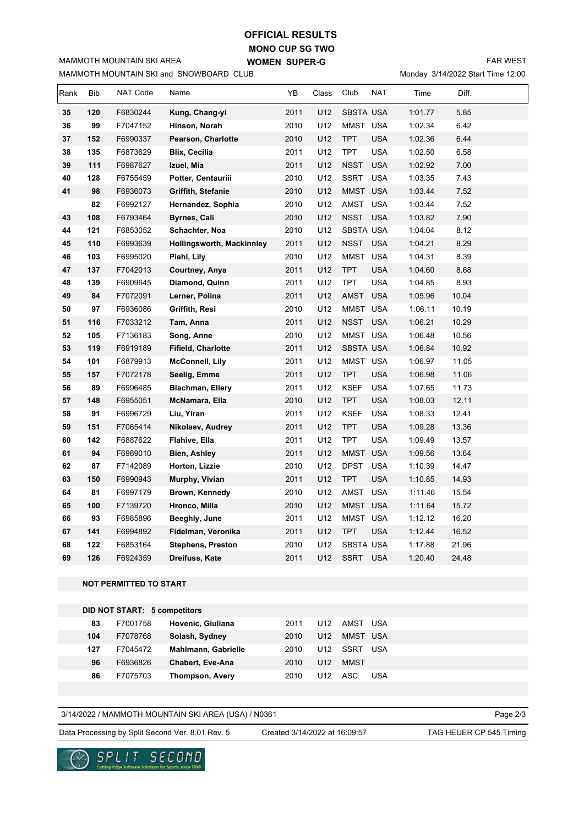## **MONO CUP SG TWO WOMEN SUPER-G OFFICIAL RESULTS**

MAMMOTH MOUNTAIN SKI and SNOWBOARD CLUB MAMMOTH MOUNTAIN SKI AREA

FAR WEST

Monday 3/14/2022 Start Time 12:00

| Rank | Bib | NAT Code                            | Name                      | YB   | Class | Club             | <b>NAT</b> | Time    | Diff. |  |
|------|-----|-------------------------------------|---------------------------|------|-------|------------------|------------|---------|-------|--|
| 35   | 120 | F6830244                            | Kung, Chang-yi            | 2011 | U12   | <b>SBSTA USA</b> |            | 1:01.77 | 5.85  |  |
| 36   | 99  | F7047152                            | Hinson, Norah             | 2010 | U12   | MMST USA         |            | 1:02.34 | 6.42  |  |
| 37   | 152 | F6990337                            | Pearson, Charlotte        | 2010 | U12   | <b>TPT</b>       | <b>USA</b> | 1:02.36 | 6.44  |  |
| 38   | 135 | F6873629                            | <b>Blix, Cecilia</b>      | 2011 | U12   | <b>TPT</b>       | <b>USA</b> | 1:02.50 | 6.58  |  |
| 39   | 111 | F6987627                            | Izuel, Mia                | 2011 | U12   | <b>NSST</b>      | <b>USA</b> | 1:02.92 | 7.00  |  |
| 40   | 128 | F6755459                            | Potter, Centauriii        | 2010 | U12   | <b>SSRT</b>      | <b>USA</b> | 1:03.35 | 7.43  |  |
| 41   | 98  | F6936073                            | Griffith, Stefanie        | 2010 | U12   | MMST USA         |            | 1:03.44 | 7.52  |  |
|      | 82  | F6992127                            | Hernandez, Sophia         | 2010 | U12   | AMST             | <b>USA</b> | 1:03.44 | 7.52  |  |
| 43   | 108 | F6793464                            | <b>Byrnes, Cali</b>       | 2010 | U12   | <b>NSST</b>      | <b>USA</b> | 1:03.82 | 7.90  |  |
| 44   | 121 | F6853052                            | Schachter, Noa            | 2010 | U12   | SBSTA USA        |            | 1:04.04 | 8.12  |  |
| 45   | 110 | F6993639                            | Hollingsworth, Mackinnley | 2011 | U12   | <b>NSST</b>      | <b>USA</b> | 1:04.21 | 8.29  |  |
| 46   | 103 | F6995020                            | Piehl, Lily               | 2010 | U12   | MMST             | <b>USA</b> | 1:04.31 | 8.39  |  |
| 47   | 137 | F7042013                            | Courtney, Anya            | 2011 | U12   | <b>TPT</b>       | <b>USA</b> | 1:04.60 | 8.68  |  |
| 48   | 139 | F6909645                            | Diamond, Quinn            | 2011 | U12   | <b>TPT</b>       | <b>USA</b> | 1:04.85 | 8.93  |  |
| 49   | 84  | F7072091                            | Lerner, Polina            | 2011 | U12   | <b>AMST</b>      | <b>USA</b> | 1:05.96 | 10.04 |  |
| 50   | 97  | F6936086                            | Griffith, Resi            | 2010 | U12   | <b>MMST</b>      | <b>USA</b> | 1:06.11 | 10.19 |  |
| 51   | 116 | F7033212                            | Tam, Anna                 | 2011 | U12   | <b>NSST</b>      | <b>USA</b> | 1:06.21 | 10.29 |  |
| 52   | 105 | F7136183                            | Song, Anne                | 2010 | U12   | MMST USA         |            | 1:06.48 | 10.56 |  |
| 53   | 119 | F6919189                            | Fifield, Charlotte        | 2011 | U12   | <b>SBSTA USA</b> |            | 1:06.84 | 10.92 |  |
| 54   | 101 | F6879913                            | <b>McConnell, Lily</b>    | 2011 | U12   | MMST USA         |            | 1:06.97 | 11.05 |  |
| 55   | 157 | F7072178                            | Seelig, Emme              | 2011 | U12   | <b>TPT</b>       | <b>USA</b> | 1:06.98 | 11.06 |  |
| 56   | 89  | F6996485                            | <b>Blachman, Ellery</b>   | 2011 | U12   | <b>KSEF</b>      | <b>USA</b> | 1:07.65 | 11.73 |  |
| 57   | 148 | F6955051                            | McNamara, Ella            | 2010 | U12   | <b>TPT</b>       | <b>USA</b> | 1:08.03 | 12.11 |  |
| 58   | 91  | F6996729                            | Liu, Yiran                | 2011 | U12   | <b>KSEF</b>      | <b>USA</b> | 1:08.33 | 12.41 |  |
| 59   | 151 | F7065414                            | Nikolaev, Audrey          | 2011 | U12   | <b>TPT</b>       | <b>USA</b> | 1:09.28 | 13.36 |  |
| 60   | 142 | F6887622                            | Flahive, Ella             | 2011 | U12   | <b>TPT</b>       | <b>USA</b> | 1:09.49 | 13.57 |  |
| 61   | 94  | F6989010                            | Bien, Ashley              | 2011 | U12   | <b>MMST</b>      | <b>USA</b> | 1:09.56 | 13.64 |  |
| 62   | 87  | F7142089                            | Horton, Lizzie            | 2010 | U12   | <b>DPST</b>      | <b>USA</b> | 1:10.39 | 14.47 |  |
| 63   | 150 | F6990943                            | Murphy, Vivian            | 2011 | U12   | <b>TPT</b>       | <b>USA</b> | 1:10.85 | 14.93 |  |
| 64   | 81  | F6997179                            | Brown, Kennedy            | 2010 | U12   | AMST             | <b>USA</b> | 1:11.46 | 15.54 |  |
| 65   | 100 | F7139720                            | Hronco, Milla             | 2010 | U12   | MMST USA         |            | 1:11.64 | 15.72 |  |
| 66   | 93  | F6985896                            | Beeghly, June             | 2011 | U12   | MMST USA         |            | 1:12.12 | 16.20 |  |
| 67   | 141 | F6994892                            | Fidelman, Veronika        | 2011 | U12   | <b>TPT</b>       | <b>USA</b> | 1:12.44 | 16.52 |  |
| 68   | 122 | F6853164                            | <b>Stephens, Preston</b>  | 2010 | U12   | SBSTA USA        |            | 1:17.88 | 21.96 |  |
| 69   | 126 | F6924359                            | Dreifuss, Kate            | 2011 | U12   | SSRT USA         |            | 1:20.40 | 24.48 |  |
|      |     |                                     |                           |      |       |                  |            |         |       |  |
|      |     | <b>NOT PERMITTED TO START</b>       |                           |      |       |                  |            |         |       |  |
|      |     |                                     |                           |      |       |                  |            |         |       |  |
|      |     | <b>DID NOT START: 5 competitors</b> |                           |      |       |                  |            |         |       |  |
|      | 83  | F7001758                            | Hovenic, Giuliana         | 2011 | U12   | AMST USA         |            |         |       |  |
|      | 104 | F7078768                            | Solash, Sydney            | 2010 | U12   | MMST USA         |            |         |       |  |
|      | 127 | F7045472                            | Mahlmann, Gabrielle       | 2010 | U12   | SSRT USA         |            |         |       |  |
|      | 96  | F6936826                            | Chabert, Eve-Ana          | 2010 | U12   | <b>MMST</b>      |            |         |       |  |
|      | 86  | F7075703                            | Thompson, Avery           | 2010 | U12   | ASC              | <b>USA</b> |         |       |  |
|      |     |                                     |                           |      |       |                  |            |         |       |  |

3/14/2022 / MAMMOTH MOUNTAIN SKI AREA (USA) / N0361

Page 2/3

Data Processing by Split Second Ver. 8.01 Rev. 5 Created 3/14/2022 at 16:09:57 TAG HEUER CP 545 Timing

Created 3/14/2022 at 16:09:57